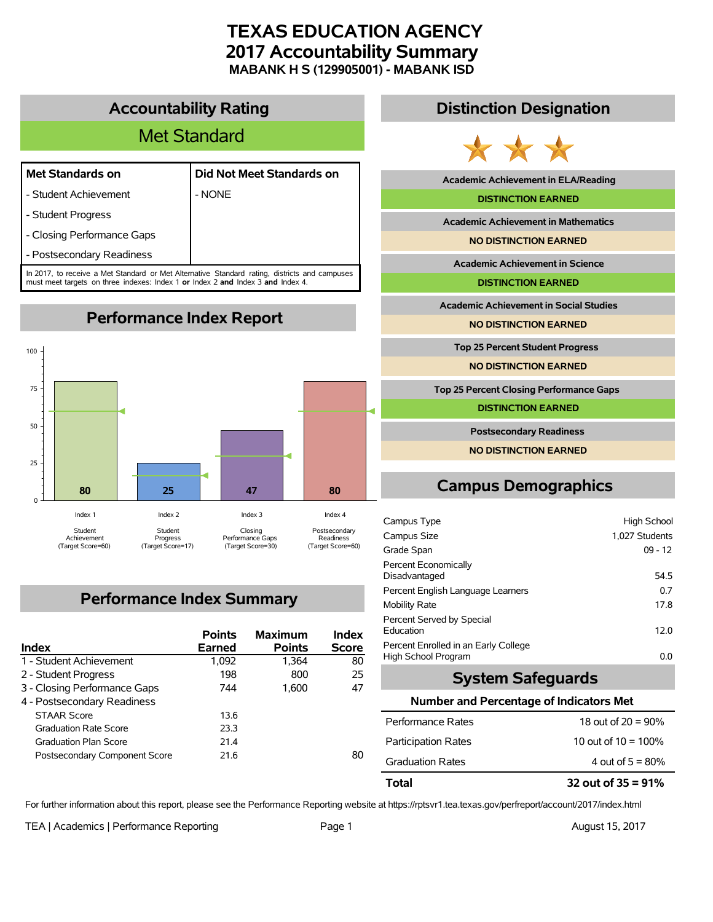# **TEXAS EDUCATION AGENCY 2017 Accountability Summary MABANK H S (129905001) - MABANK ISD**

## **Accountability Rating**

# Met Standard

| <b>Met Standards on</b> |  |  |  |  |
|-------------------------|--|--|--|--|
|-------------------------|--|--|--|--|

- Student Achievement **Facult 1** - NONE

| Met Standards on | Did Not Meet Standards on |  |  |
|------------------|---------------------------|--|--|
|                  |                           |  |  |

- Student Progress

- Closing Performance Gaps

- Postsecondary Readiness

In 2017, to receive a Met Standard or Met Alternative Standard rating, districts and campuses must meet targets on three indexes: Index 1 **or** Index 2 **and** Index 3 **and** Index 4.

**Performance Index Report**



# **Performance Index Summary**

| Index                         | <b>Points</b><br><b>Earned</b> | <b>Maximum</b><br><b>Points</b> | Index<br><b>Score</b> |
|-------------------------------|--------------------------------|---------------------------------|-----------------------|
| 1 - Student Achievement       | 1,092                          | 1.364                           | 80                    |
| 2 - Student Progress          | 198                            | 800                             | 25                    |
| 3 - Closing Performance Gaps  | 744                            | 1.600                           | 47                    |
| 4 - Postsecondary Readiness   |                                |                                 |                       |
| <b>STAAR Score</b>            | 13.6                           |                                 |                       |
| <b>Graduation Rate Score</b>  | 23.3                           |                                 |                       |
| <b>Graduation Plan Score</b>  | 214                            |                                 |                       |
| Postsecondary Component Score | 21.6                           |                                 | 80                    |

# **Distinction Designation**



**Academic Achievement in ELA/Reading**

#### **DISTINCTION EARNED**

**Academic Achievement in Mathematics**

**NO DISTINCTION EARNED**

**Academic Achievement in Science**

**DISTINCTION EARNED**

**Academic Achievement in Social Studies**

**NO DISTINCTION EARNED**

**Top 25 Percent Student Progress**

**NO DISTINCTION EARNED**

**Top 25 Percent Closing Performance Gaps**

**DISTINCTION EARNED**

**Postsecondary Readiness**

**NO DISTINCTION EARNED**

# **Campus Demographics**

| Campus Type                                                 | <b>High School</b> |
|-------------------------------------------------------------|--------------------|
| Campus Size                                                 | 1.027 Students     |
| Grade Span                                                  | $09 - 12$          |
| Percent Economically<br>Disadvantaged                       | 54.5               |
| Percent English Language Learners                           | 0.7                |
| <b>Mobility Rate</b>                                        | 17.8               |
| Percent Served by Special<br>Education                      | 12.0               |
| Percent Enrolled in an Early College<br>High School Program | 0.0                |

## **System Safeguards**

#### **Number and Percentage of Indicators Met**

| Total                      | 32 out of $35 = 91\%$  |
|----------------------------|------------------------|
| <b>Graduation Rates</b>    | 4 out of $5 = 80\%$    |
| <b>Participation Rates</b> | 10 out of $10 = 100\%$ |
| Performance Rates          | 18 out of $20 = 90\%$  |

For further information about this report, please see the Performance Reporting website at https://rptsvr1.tea.texas.gov/perfreport/account/2017/index.html

TEA | Academics | Performance Reporting Page 1 August 15, 2017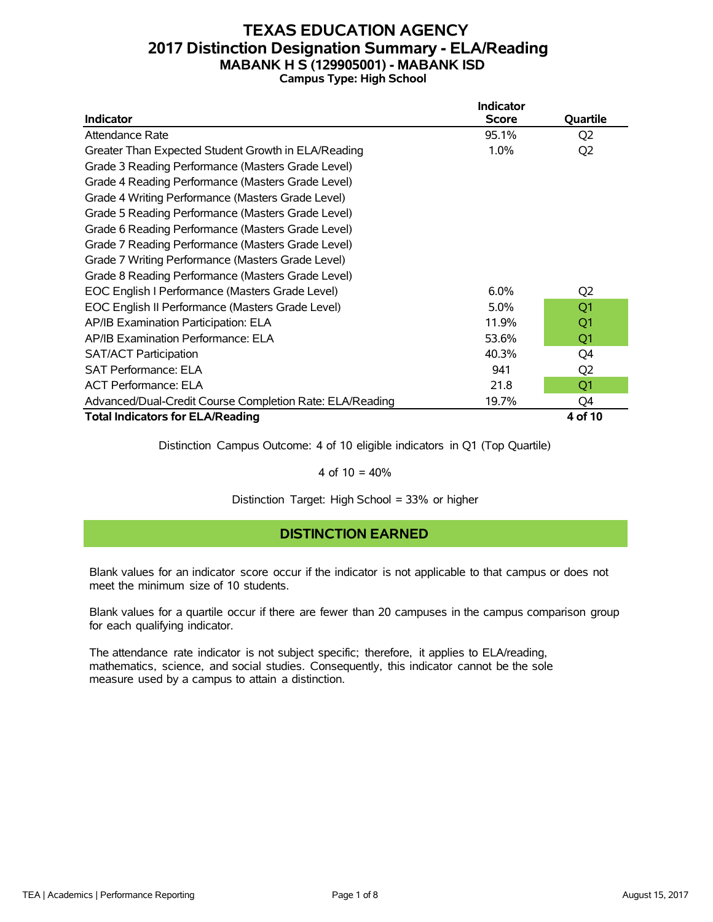## **TEXAS EDUCATION AGENCY 2017 Distinction Designation Summary - ELA/Reading MABANK H S (129905001) - MABANK ISD Campus Type: High School**

|                                                          | <b>Indicator</b> |                |
|----------------------------------------------------------|------------------|----------------|
| <b>Indicator</b>                                         | <b>Score</b>     | Quartile       |
| Attendance Rate                                          | 95.1%            | Q <sub>2</sub> |
| Greater Than Expected Student Growth in ELA/Reading      | 1.0%             | Q <sub>2</sub> |
| Grade 3 Reading Performance (Masters Grade Level)        |                  |                |
| Grade 4 Reading Performance (Masters Grade Level)        |                  |                |
| Grade 4 Writing Performance (Masters Grade Level)        |                  |                |
| Grade 5 Reading Performance (Masters Grade Level)        |                  |                |
| Grade 6 Reading Performance (Masters Grade Level)        |                  |                |
| Grade 7 Reading Performance (Masters Grade Level)        |                  |                |
| Grade 7 Writing Performance (Masters Grade Level)        |                  |                |
| Grade 8 Reading Performance (Masters Grade Level)        |                  |                |
| EOC English I Performance (Masters Grade Level)          | 6.0%             | Q <sub>2</sub> |
| EOC English II Performance (Masters Grade Level)         | $5.0\%$          | Q <sub>1</sub> |
| AP/IB Examination Participation: ELA                     | 11.9%            | Q1             |
| AP/IB Examination Performance: ELA                       | 53.6%            | Q1             |
| <b>SAT/ACT Participation</b>                             | 40.3%            | Q4             |
| <b>SAT Performance: ELA</b>                              | 941              | Q <sub>2</sub> |
| <b>ACT Performance: ELA</b>                              | 21.8             | Q <sub>1</sub> |
| Advanced/Dual-Credit Course Completion Rate: ELA/Reading | 19.7%            | Q4             |
| <b>Total Indicators for ELA/Reading</b>                  |                  | 4 of 10        |

Distinction Campus Outcome: 4 of 10 eligible indicators in Q1 (Top Quartile)

#### 4 of  $10 = 40%$

Distinction Target: High School = 33% or higher

### **DISTINCTION EARNED**

Blank values for an indicator score occur if the indicator is not applicable to that campus or does not meet the minimum size of 10 students.

Blank values for a quartile occur if there are fewer than 20 campuses in the campus comparison group for each qualifying indicator.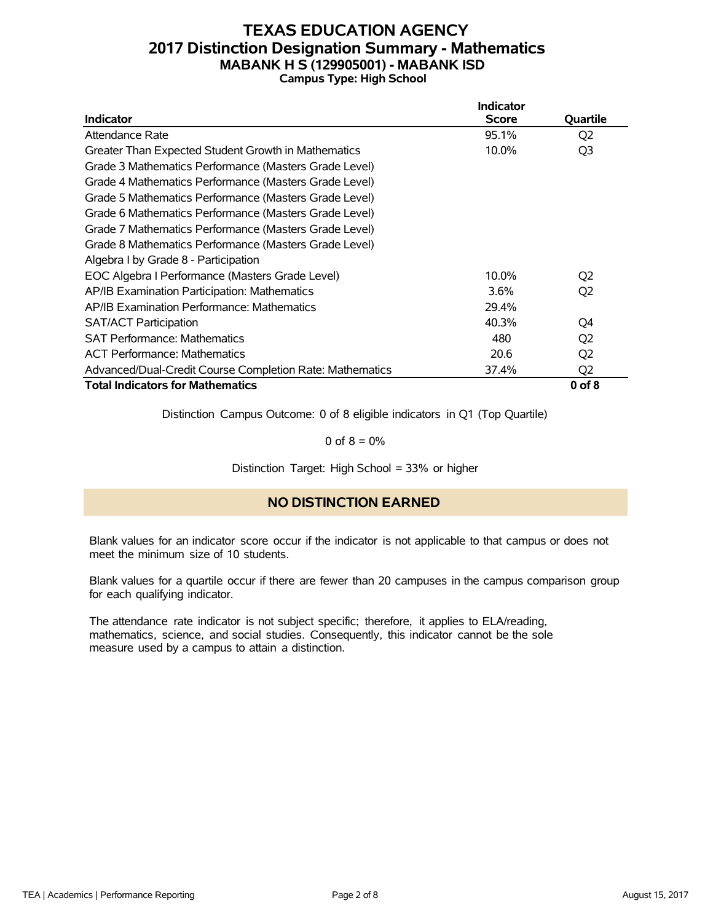## **TEXAS EDUCATION AGENCY 2017 Distinction Designation Summary - Mathematics MABANK H S (129905001) - MABANK ISD Campus Type: High School**

|                                                          | Indicator    |                |
|----------------------------------------------------------|--------------|----------------|
| <b>Indicator</b>                                         | <b>Score</b> | Quartile       |
| Attendance Rate                                          | 95.1%        | Q <sub>2</sub> |
| Greater Than Expected Student Growth in Mathematics      | 10.0%        | Q <sub>3</sub> |
| Grade 3 Mathematics Performance (Masters Grade Level)    |              |                |
| Grade 4 Mathematics Performance (Masters Grade Level)    |              |                |
| Grade 5 Mathematics Performance (Masters Grade Level)    |              |                |
| Grade 6 Mathematics Performance (Masters Grade Level)    |              |                |
| Grade 7 Mathematics Performance (Masters Grade Level)    |              |                |
| Grade 8 Mathematics Performance (Masters Grade Level)    |              |                |
| Algebra I by Grade 8 - Participation                     |              |                |
| EOC Algebra I Performance (Masters Grade Level)          | 10.0%        | Q2             |
| AP/IB Examination Participation: Mathematics             | 3.6%         | Q <sub>2</sub> |
| AP/IB Examination Performance: Mathematics               | 29.4%        |                |
| <b>SAT/ACT Participation</b>                             | 40.3%        | O4             |
| <b>SAT Performance: Mathematics</b>                      | 480          | Q <sub>2</sub> |
| <b>ACT Performance: Mathematics</b>                      | 20.6         | Q <sub>2</sub> |
| Advanced/Dual-Credit Course Completion Rate: Mathematics | 37.4%        | Q <sub>2</sub> |
| <b>Total Indicators for Mathematics</b>                  |              | $0$ of $8$     |

Distinction Campus Outcome: 0 of 8 eligible indicators in Q1 (Top Quartile)

0 of  $8 = 0\%$ 

Distinction Target: High School = 33% or higher

### **NO DISTINCTION EARNED**

Blank values for an indicator score occur if the indicator is not applicable to that campus or does not meet the minimum size of 10 students.

Blank values for a quartile occur if there are fewer than 20 campuses in the campus comparison group for each qualifying indicator.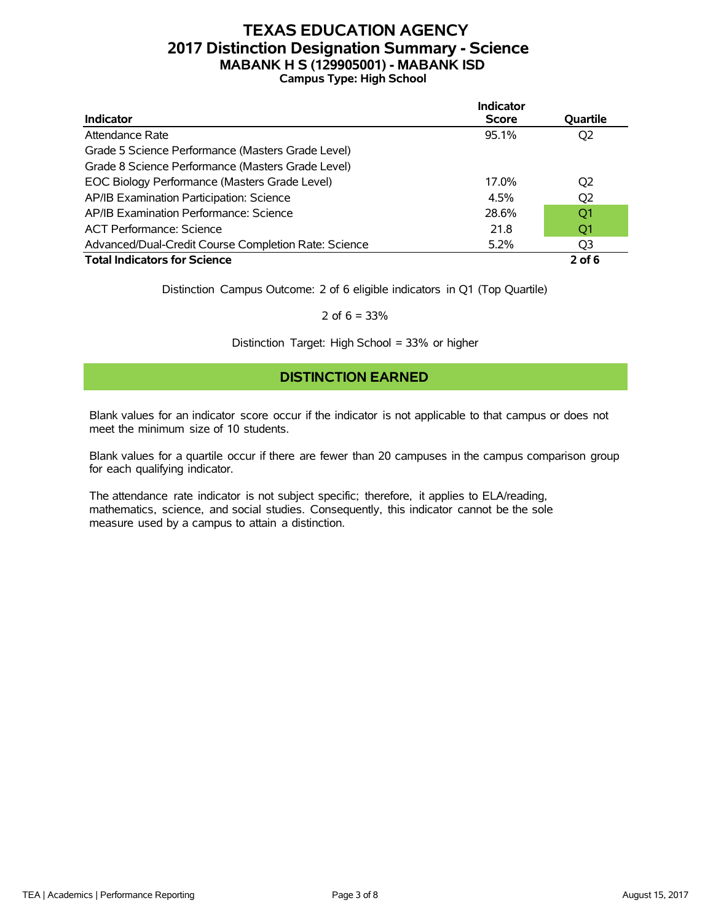# **TEXAS EDUCATION AGENCY 2017 Distinction Designation Summary - Science MABANK H S (129905001) - MABANK ISD Campus Type: High School**

|                                                      | <b>Indicator</b> |                |
|------------------------------------------------------|------------------|----------------|
| <b>Indicator</b>                                     | <b>Score</b>     | Quartile       |
| Attendance Rate                                      | 95.1%            | Q2             |
| Grade 5 Science Performance (Masters Grade Level)    |                  |                |
| Grade 8 Science Performance (Masters Grade Level)    |                  |                |
| EOC Biology Performance (Masters Grade Level)        | 17.0%            | Q2             |
| AP/IB Examination Participation: Science             | 4.5%             | Q <sub>2</sub> |
| AP/IB Examination Performance: Science               | 28.6%            | Q1             |
| <b>ACT Performance: Science</b>                      | 21.8             | O1             |
| Advanced/Dual-Credit Course Completion Rate: Science | 5.2%             | Q3             |
| <b>Total Indicators for Science</b>                  |                  | $2$ of 6       |

Distinction Campus Outcome: 2 of 6 eligible indicators in Q1 (Top Quartile)

2 of  $6 = 33%$ 

Distinction Target: High School = 33% or higher

### **DISTINCTION EARNED**

Blank values for an indicator score occur if the indicator is not applicable to that campus or does not meet the minimum size of 10 students.

Blank values for a quartile occur if there are fewer than 20 campuses in the campus comparison group for each qualifying indicator.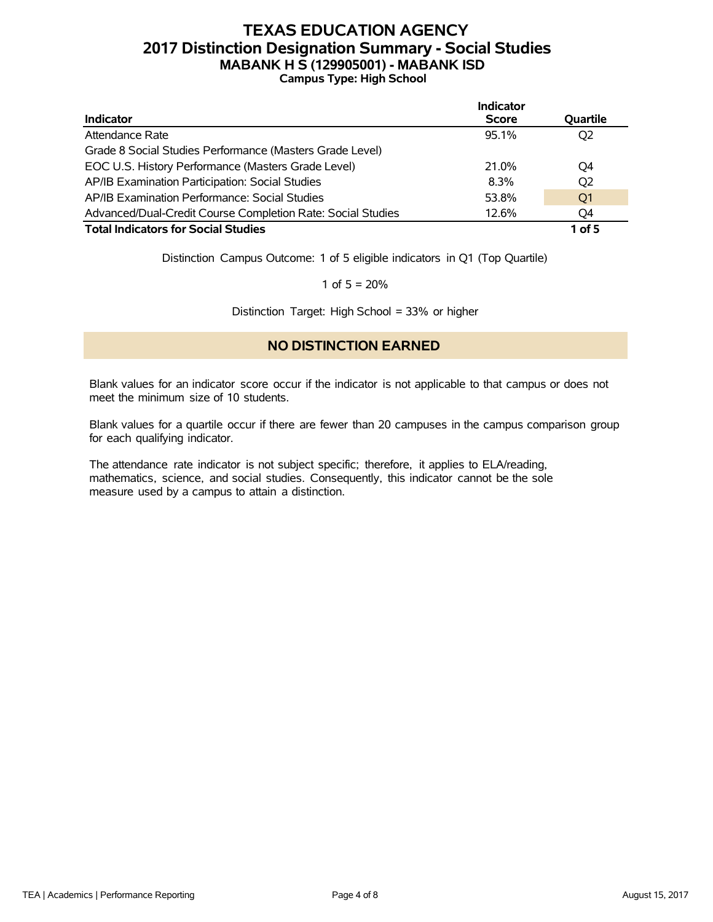# **TEXAS EDUCATION AGENCY 2017 Distinction Designation Summary - Social Studies MABANK H S (129905001) - MABANK ISD Campus Type: High School**

|                                                             | Indicator    |                |
|-------------------------------------------------------------|--------------|----------------|
| <b>Indicator</b>                                            | <b>Score</b> | Quartile       |
| Attendance Rate                                             | 95.1%        | Q <sub>2</sub> |
| Grade 8 Social Studies Performance (Masters Grade Level)    |              |                |
| EOC U.S. History Performance (Masters Grade Level)          | 21.0%        | O4             |
| AP/IB Examination Participation: Social Studies             | 8.3%         | Q <sub>2</sub> |
| AP/IB Examination Performance: Social Studies               | 53.8%        | O <sub>1</sub> |
| Advanced/Dual-Credit Course Completion Rate: Social Studies | 12.6%        | O4             |
| <b>Total Indicators for Social Studies</b>                  |              | 1 of $5$       |

Distinction Campus Outcome: 1 of 5 eligible indicators in Q1 (Top Quartile)

1 of  $5 = 20%$ 

Distinction Target: High School = 33% or higher

### **NO DISTINCTION EARNED**

Blank values for an indicator score occur if the indicator is not applicable to that campus or does not meet the minimum size of 10 students.

Blank values for a quartile occur if there are fewer than 20 campuses in the campus comparison group for each qualifying indicator.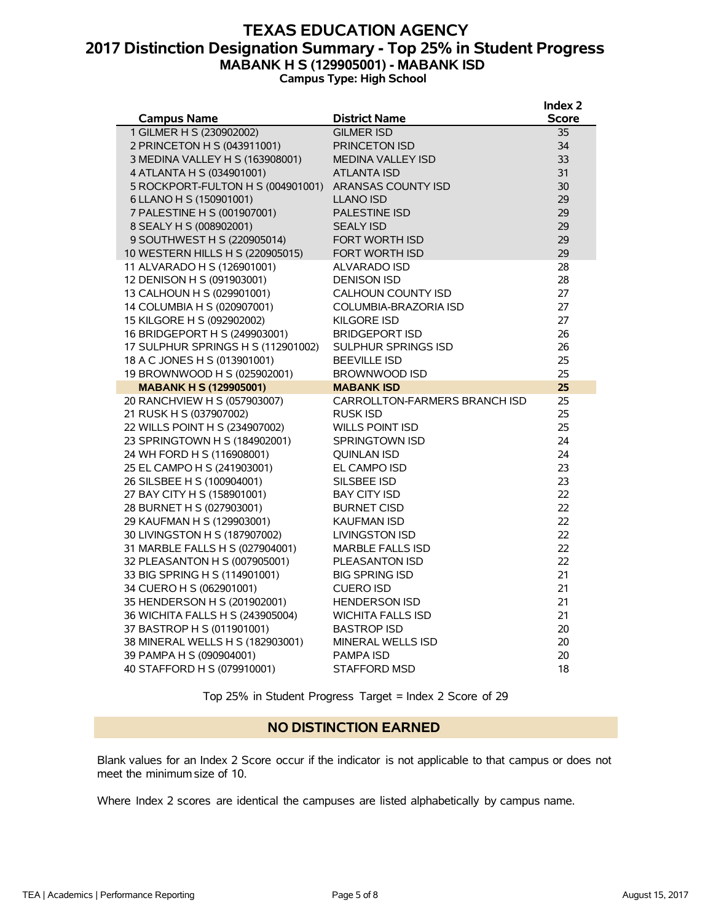### **TEXAS EDUCATION AGENCY 2017 Distinction Designation Summary - Top 25% in Student Progress MABANK H S (129905001) - MABANK ISD Campus Type: High School**

|                                                           |                                    | Index 2      |
|-----------------------------------------------------------|------------------------------------|--------------|
| <b>Campus Name</b>                                        | <b>District Name</b>               | <b>Score</b> |
| 1 GILMER H S (230902002)                                  | <b>GILMER ISD</b>                  | 35           |
| 2 PRINCETON H S (043911001)                               | <b>PRINCETON ISD</b>               | 34           |
| 3 MEDINA VALLEY H S (163908001)                           | <b>MEDINA VALLEY ISD</b>           | 33           |
| 4 ATLANTA H S (034901001)                                 | <b>ATLANTA ISD</b>                 | 31           |
| 5 ROCKPORT-FULTON H S (004901001)                         | <b>ARANSAS COUNTY ISD</b>          | 30           |
| 6 LLANO H S (150901001)                                   | <b>LLANO ISD</b>                   | 29           |
| 7 PALESTINE H S (001907001)                               | <b>PALESTINE ISD</b>               | 29           |
| 8 SEALY H S (008902001)                                   | <b>SEALY ISD</b>                   | 29           |
| 9 SOUTHWEST H S (220905014)                               | <b>FORT WORTH ISD</b>              | 29           |
| 10 WESTERN HILLS H S (220905015)                          | <b>FORT WORTH ISD</b>              | 29           |
| 11 ALVARADO H S (126901001)                               | ALVARADO ISD                       | 28           |
| 12 DENISON H S (091903001)                                | <b>DENISON ISD</b>                 | 28           |
| 13 CALHOUN H S (029901001)                                | <b>CALHOUN COUNTY ISD</b>          | 27           |
| 14 COLUMBIA H S (020907001)                               | COLUMBIA-BRAZORIA ISD              | 27           |
| 15 KILGORE H S (092902002)                                | <b>KILGORE ISD</b>                 | 27           |
| 16 BRIDGEPORT H S (249903001)                             | <b>BRIDGEPORT ISD</b>              | 26           |
| 17 SULPHUR SPRINGS H S (112901002)                        | <b>SULPHUR SPRINGS ISD</b>         | 26           |
| 18 A C JONES H S (013901001)                              | <b>BEEVILLE ISD</b>                | 25           |
| 19 BROWNWOOD H S (025902001)                              | <b>BROWNWOOD ISD</b>               | 25           |
| <b>MABANK H S (129905001)</b>                             | <b>MABANK ISD</b>                  | 25           |
| 20 RANCHVIEW H S (057903007)                              | CARROLLTON-FARMERS BRANCH ISD      | 25           |
| 21 RUSK H S (037907002)                                   | <b>RUSK ISD</b>                    | 25           |
| 22 WILLS POINT H S (234907002)                            | <b>WILLS POINT ISD</b>             | 25           |
| 23 SPRINGTOWN H S (184902001)                             | <b>SPRINGTOWN ISD</b>              | 24           |
| 24 WH FORD H S (116908001)                                | <b>OUINLAN ISD</b>                 | 24<br>23     |
| 25 EL CAMPO H S (241903001)<br>26 SILSBEE H S (100904001) | EL CAMPO ISD                       | 23           |
| 27 BAY CITY H S (158901001)                               | SILSBEE ISD<br><b>BAY CITY ISD</b> | 22           |
| 28 BURNET H S (027903001)                                 | <b>BURNET CISD</b>                 | 22           |
| 29 KAUFMAN H S (129903001)                                | <b>KAUFMAN ISD</b>                 | 22           |
| 30 LIVINGSTON H S (187907002)                             | <b>LIVINGSTON ISD</b>              | 22           |
| 31 MARBLE FALLS H S (027904001)                           | <b>MARBLE FALLS ISD</b>            | 22           |
| 32 PLEASANTON H S (007905001)                             | <b>PLEASANTON ISD</b>              | 22           |
| 33 BIG SPRING H S (114901001)                             | <b>BIG SPRING ISD</b>              | 21           |
| 34 CUERO H S (062901001)                                  | <b>CUERO ISD</b>                   | 21           |
| 35 HENDERSON H S (201902001)                              | <b>HENDERSON ISD</b>               | 21           |
| 36 WICHITA FALLS H S (243905004)                          | <b>WICHITA FALLS ISD</b>           | 21           |
| 37 BASTROP H S (011901001)                                | <b>BASTROP ISD</b>                 | 20           |
| 38 MINERAL WELLS H S (182903001)                          | <b>MINERAL WELLS ISD</b>           | 20           |
| 39 PAMPA H S (090904001)                                  | <b>PAMPA ISD</b>                   | 20           |
| 40 STAFFORD H S (079910001)                               | <b>STAFFORD MSD</b>                | 18           |

Top 25% in Student Progress Target = Index 2 Score of 29

#### **NO DISTINCTION EARNED**

Blank values for an Index 2 Score occur if the indicator is not applicable to that campus or does not meet the minimum size of 10.

Where Index 2 scores are identical the campuses are listed alphabetically by campus name.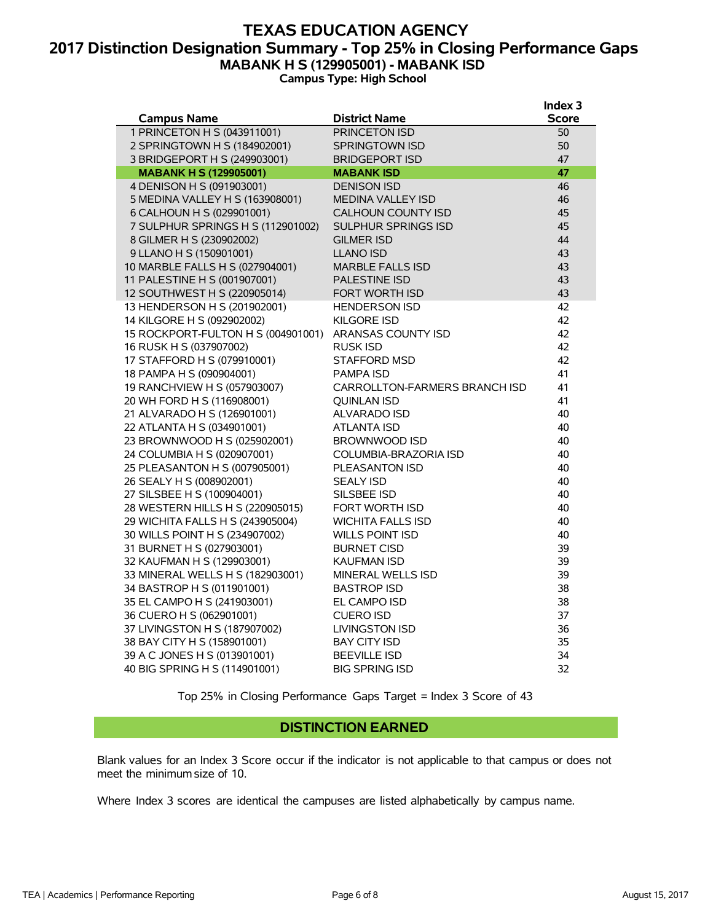### **TEXAS EDUCATION AGENCY 2017 Distinction Designation Summary - Top 25% in Closing Performance Gaps MABANK H S (129905001) - MABANK ISD Campus Type: High School**

|                                    |                               | Index 3      |
|------------------------------------|-------------------------------|--------------|
| <b>Campus Name</b>                 | <b>District Name</b>          | <b>Score</b> |
| 1 PRINCETON H S (043911001)        | <b>PRINCETON ISD</b>          | 50           |
| 2 SPRINGTOWN H S (184902001)       | <b>SPRINGTOWN ISD</b>         | 50           |
| 3 BRIDGEPORT H S (249903001)       | <b>BRIDGEPORT ISD</b>         | 47           |
| <b>MABANK H S (129905001)</b>      | <b>MABANK ISD</b>             | 47           |
| 4 DENISON H S (091903001)          | <b>DENISON ISD</b>            | 46           |
| 5 MEDINA VALLEY H S (163908001)    | <b>MEDINA VALLEY ISD</b>      | 46           |
| 6 CALHOUN H S (029901001)          | <b>CALHOUN COUNTY ISD</b>     | 45           |
| 7 SULPHUR SPRINGS H S (112901002)  | <b>SULPHUR SPRINGS ISD</b>    | 45           |
| 8 GILMER H S (230902002)           | <b>GILMER ISD</b>             | 44           |
| 9 LLANO H S (150901001)            | <b>LLANO ISD</b>              | 43           |
| 10 MARBLE FALLS H S (027904001)    | <b>MARBLE FALLS ISD</b>       | 43           |
| 11 PALESTINE H S (001907001)       | <b>PALESTINE ISD</b>          | 43           |
| 12 SOUTHWEST H S (220905014)       | <b>FORT WORTH ISD</b>         | 43           |
| 13 HENDERSON H S (201902001)       | <b>HENDERSON ISD</b>          | 42           |
| 14 KILGORE H S (092902002)         | <b>KILGORE ISD</b>            | 42           |
| 15 ROCKPORT-FULTON H S (004901001) | ARANSAS COUNTY ISD            | 42           |
| 16 RUSK H S (037907002)            | <b>RUSK ISD</b>               | 42           |
| 17 STAFFORD H S (079910001)        | <b>STAFFORD MSD</b>           | 42           |
| 18 PAMPA H S (090904001)           | <b>PAMPA ISD</b>              | 41           |
| 19 RANCHVIEW H S (057903007)       | CARROLLTON-FARMERS BRANCH ISD | 41           |
| 20 WH FORD H S (116908001)         | <b>OUINLAN ISD</b>            | 41           |
| 21 ALVARADO H S (126901001)        | <b>ALVARADO ISD</b>           | 40           |
| 22 ATLANTA H S (034901001)         | ATLANTA ISD                   | 40           |
| 23 BROWNWOOD H S (025902001)       | <b>BROWNWOOD ISD</b>          | 40           |
| 24 COLUMBIA H S (020907001)        | COLUMBIA-BRAZORIA ISD         | 40           |
| 25 PLEASANTON H S (007905001)      | PLEASANTON ISD                | 40           |
| 26 SEALY H S (008902001)           | <b>SEALY ISD</b>              | 40           |
| 27 SILSBEE H S (100904001)         | SILSBEE ISD                   | 40           |
| 28 WESTERN HILLS H S (220905015)   | FORT WORTH ISD                | 40           |
| 29 WICHITA FALLS H S (243905004)   | WICHITA FALLS ISD             | 40           |
| 30 WILLS POINT H S (234907002)     | <b>WILLS POINT ISD</b>        | 40           |
| 31 BURNET H S (027903001)          | <b>BURNET CISD</b>            | 39           |
| 32 KAUFMAN H S (129903001)         | <b>KAUFMAN ISD</b>            | 39           |
| 33 MINERAL WELLS H S (182903001)   | <b>MINERAL WELLS ISD</b>      | 39           |
| 34 BASTROP H S (011901001)         | <b>BASTROP ISD</b>            | 38           |
| 35 EL CAMPO H S (241903001)        | <b>EL CAMPO ISD</b>           | 38           |
| 36 CUERO H S (062901001)           | <b>CUERO ISD</b>              | 37           |
| 37 LIVINGSTON H S (187907002)      | <b>LIVINGSTON ISD</b>         | 36           |
| 38 BAY CITY H S (158901001)        | <b>BAY CITY ISD</b>           | 35           |
| 39 A C JONES H S (013901001)       | <b>BEEVILLE ISD</b>           | 34           |
| 40 BIG SPRING H S (114901001)      | <b>BIG SPRING ISD</b>         | 32           |

Top 25% in Closing Performance Gaps Target = Index 3 Score of 43

#### **DISTINCTION EARNED**

Blank values for an Index 3 Score occur if the indicator is not applicable to that campus or does not meet the minimum size of 10.

Where Index 3 scores are identical the campuses are listed alphabetically by campus name.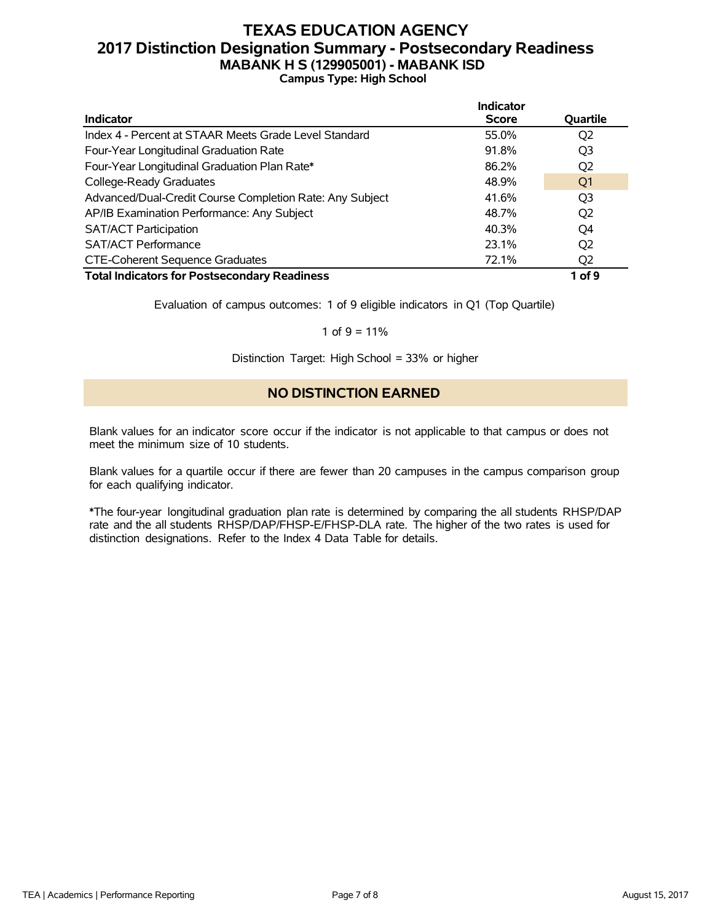### **TEXAS EDUCATION AGENCY 2017 Distinction Designation Summary - Postsecondary Readiness MABANK H S (129905001) - MABANK ISD Campus Type: High School**

|                                                          | <b>Indicator</b> |                |
|----------------------------------------------------------|------------------|----------------|
| <b>Indicator</b>                                         | <b>Score</b>     | Quartile       |
| Index 4 - Percent at STAAR Meets Grade Level Standard    | 55.0%            | Q <sub>2</sub> |
| Four-Year Longitudinal Graduation Rate                   | 91.8%            | Q <sub>3</sub> |
| Four-Year Longitudinal Graduation Plan Rate*             | 86.2%            | Q <sub>2</sub> |
| College-Ready Graduates                                  | 48.9%            | Q <sub>1</sub> |
| Advanced/Dual-Credit Course Completion Rate: Any Subject | 41.6%            | Q <sub>3</sub> |
| AP/IB Examination Performance: Any Subject               | 48.7%            | Q <sub>2</sub> |
| <b>SAT/ACT Participation</b>                             | 40.3%            | Q4             |
| <b>SAT/ACT Performance</b>                               | 23.1%            | Q <sub>2</sub> |
| <b>CTE-Coherent Sequence Graduates</b>                   | 72.1%            | O <sub>2</sub> |
| <b>Total Indicators for Postsecondary Readiness</b>      |                  | 1 of 9         |

Evaluation of campus outcomes: 1 of 9 eligible indicators in Q1 (Top Quartile)

#### 1 of  $9 = 11\%$

Distinction Target: High School = 33% or higher

### **NO DISTINCTION EARNED**

Blank values for an indicator score occur if the indicator is not applicable to that campus or does not meet the minimum size of 10 students.

Blank values for a quartile occur if there are fewer than 20 campuses in the campus comparison group for each qualifying indicator.

\*The four-year longitudinal graduation plan rate is determined by comparing the all students RHSP/DAP rate and the all students RHSP/DAP/FHSP-E/FHSP-DLA rate. The higher of the two rates is used for distinction designations. Refer to the Index 4 Data Table for details.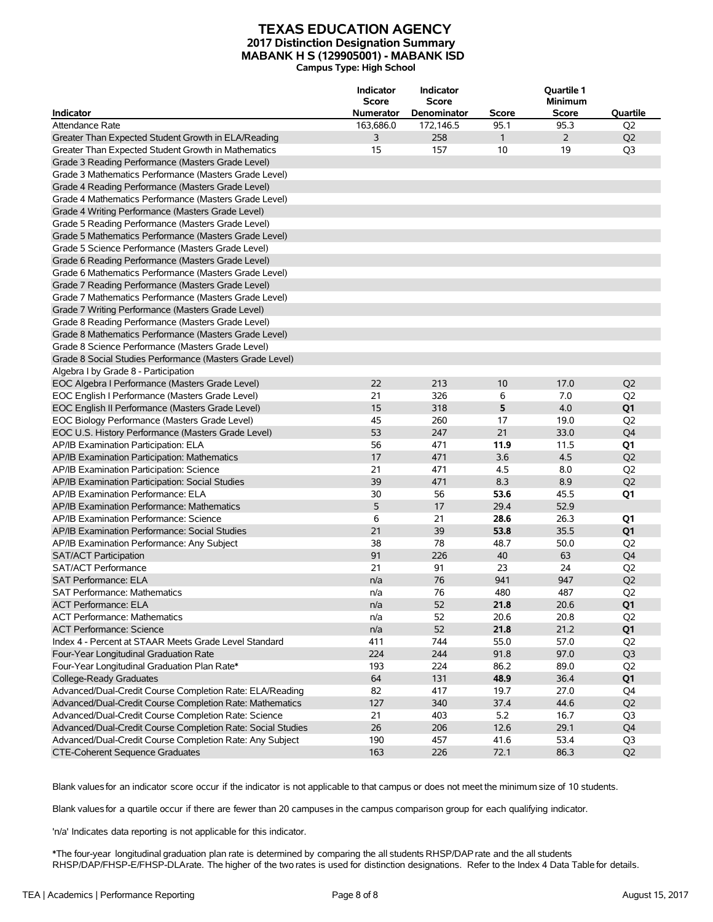#### **TEXAS EDUCATION AGENCY 2017 Distinction Designation Summary MABANK H S (129905001) - MABANK ISD Campus Type: High School**

|                                                             | Indicator<br><b>Score</b> | <b>Indicator</b><br><b>Score</b> |              | <b>Quartile 1</b><br><b>Minimum</b> |                |
|-------------------------------------------------------------|---------------------------|----------------------------------|--------------|-------------------------------------|----------------|
| <b>Indicator</b>                                            | <b>Numerator</b>          | Denominator                      | <b>Score</b> | Score                               | Quartile       |
| Attendance Rate                                             | 163,686.0                 | 172,146.5                        | 95.1         | 95.3                                | Q <sub>2</sub> |
| Greater Than Expected Student Growth in ELA/Reading         | 3                         | 258                              | $\mathbf{1}$ | $\overline{2}$                      | Q <sub>2</sub> |
| Greater Than Expected Student Growth in Mathematics         | 15                        | 157                              | 10           | 19                                  | Q <sub>3</sub> |
| Grade 3 Reading Performance (Masters Grade Level)           |                           |                                  |              |                                     |                |
| Grade 3 Mathematics Performance (Masters Grade Level)       |                           |                                  |              |                                     |                |
| Grade 4 Reading Performance (Masters Grade Level)           |                           |                                  |              |                                     |                |
| Grade 4 Mathematics Performance (Masters Grade Level)       |                           |                                  |              |                                     |                |
| Grade 4 Writing Performance (Masters Grade Level)           |                           |                                  |              |                                     |                |
| Grade 5 Reading Performance (Masters Grade Level)           |                           |                                  |              |                                     |                |
| Grade 5 Mathematics Performance (Masters Grade Level)       |                           |                                  |              |                                     |                |
| Grade 5 Science Performance (Masters Grade Level)           |                           |                                  |              |                                     |                |
| Grade 6 Reading Performance (Masters Grade Level)           |                           |                                  |              |                                     |                |
| Grade 6 Mathematics Performance (Masters Grade Level)       |                           |                                  |              |                                     |                |
| Grade 7 Reading Performance (Masters Grade Level)           |                           |                                  |              |                                     |                |
| Grade 7 Mathematics Performance (Masters Grade Level)       |                           |                                  |              |                                     |                |
| Grade 7 Writing Performance (Masters Grade Level)           |                           |                                  |              |                                     |                |
| Grade 8 Reading Performance (Masters Grade Level)           |                           |                                  |              |                                     |                |
| Grade 8 Mathematics Performance (Masters Grade Level)       |                           |                                  |              |                                     |                |
| Grade 8 Science Performance (Masters Grade Level)           |                           |                                  |              |                                     |                |
| Grade 8 Social Studies Performance (Masters Grade Level)    |                           |                                  |              |                                     |                |
| Algebra I by Grade 8 - Participation                        |                           |                                  |              |                                     |                |
| EOC Algebra I Performance (Masters Grade Level)             | 22                        | 213                              | 10           | 17.0                                | Q <sub>2</sub> |
| EOC English I Performance (Masters Grade Level)             | 21                        | 326                              | 6            | 7.0                                 | Q <sub>2</sub> |
| EOC English II Performance (Masters Grade Level)            | 15                        | 318                              | 5            | 4.0                                 | Q <sub>1</sub> |
| EOC Biology Performance (Masters Grade Level)               | 45                        | 260                              | 17           | 19.0                                | Q <sub>2</sub> |
| EOC U.S. History Performance (Masters Grade Level)          | 53                        | 247                              | 21           | 33.0                                | Q4             |
| AP/IB Examination Participation: ELA                        | 56                        | 471                              | 11.9         | 11.5                                | Q1             |
| AP/IB Examination Participation: Mathematics                | 17                        | 471                              | 3.6          | 4.5                                 | Q <sub>2</sub> |
| AP/IB Examination Participation: Science                    | 21                        | 471                              | 4.5          | 8.0                                 | Q <sub>2</sub> |
| AP/IB Examination Participation: Social Studies             | 39                        | 471                              | 8.3          | 8.9                                 | Q <sub>2</sub> |
| AP/IB Examination Performance: ELA                          | 30                        | 56                               | 53.6         | 45.5                                | Q1             |
| AP/IB Examination Performance: Mathematics                  | 5                         | 17                               | 29.4         | 52.9                                |                |
| AP/IB Examination Performance: Science                      | 6                         | 21                               | 28.6         | 26.3                                | Q1             |
| AP/IB Examination Performance: Social Studies               | 21                        | 39                               | 53.8         | 35.5                                | Q <sub>1</sub> |
| AP/IB Examination Performance: Any Subject                  | 38                        | 78                               | 48.7         | 50.0                                | Q <sub>2</sub> |
| <b>SAT/ACT Participation</b>                                | 91                        | 226                              | 40           | 63                                  | Q <sub>4</sub> |
| SAT/ACT Performance                                         | 21                        | 91                               | 23           | 24                                  | Q <sub>2</sub> |
| <b>SAT Performance: ELA</b>                                 | n/a                       | 76                               | 941          | 947                                 | Q <sub>2</sub> |
| <b>SAT Performance: Mathematics</b>                         | n/a                       | 76                               | 480          | 487                                 | Q <sub>2</sub> |
| <b>ACT Performance: ELA</b>                                 | n/a                       | 52                               | 21.8         | 20.6                                | Q1             |
| <b>ACT Performance: Mathematics</b>                         | n/a                       | 52                               | 20.6         | 20.8                                | Q <sub>2</sub> |
| <b>ACT Performance: Science</b>                             | n/a                       | 52                               | 21.8         | 21.2                                | Q1             |
| Index 4 - Percent at STAAR Meets Grade Level Standard       | 411                       | 744                              | 55.0         | 57.0                                | Q <sub>2</sub> |
| Four-Year Longitudinal Graduation Rate                      | 224                       | 244                              | 91.8         | 97.0                                | Q <sub>3</sub> |
| Four-Year Longitudinal Graduation Plan Rate*                | 193                       | 224                              | 86.2         | 89.0                                | Q <sub>2</sub> |
| College-Ready Graduates                                     | 64                        | 131                              | 48.9         | 36.4                                | Q1             |
| Advanced/Dual-Credit Course Completion Rate: ELA/Reading    | 82                        | 417                              | 19.7         | 27.0                                | Q4             |
| Advanced/Dual-Credit Course Completion Rate: Mathematics    | 127                       | 340                              | 37.4         | 44.6                                | Q2             |
| Advanced/Dual-Credit Course Completion Rate: Science        | 21                        | 403                              | 5.2          | 16.7                                | Q3             |
| Advanced/Dual-Credit Course Completion Rate: Social Studies | 26                        | 206                              | 12.6         | 29.1                                | Q4             |
| Advanced/Dual-Credit Course Completion Rate: Any Subject    | 190                       | 457                              | 41.6         | 53.4                                | Q3             |
| CTE-Coherent Sequence Graduates                             | 163                       | 226                              | 72.1         | 86.3                                | Q <sub>2</sub> |
|                                                             |                           |                                  |              |                                     |                |

Blank valuesfor an indicator score occur if the indicator is not applicable to that campus or does not meet the minimum size of 10 students.

Blank valuesfor a quartile occur if there are fewer than 20 campuses in the campus comparison group for each qualifying indicator.

'n/a' Indicates data reporting is not applicable for this indicator.

\*The four-year longitudinal graduation plan rate is determined by comparing the all students RHSP/DAPrate and the all students RHSP/DAP/FHSP-E/FHSP-DLArate. The higher of the two rates is used for distinction designations. Refer to the Index 4 Data Table for details.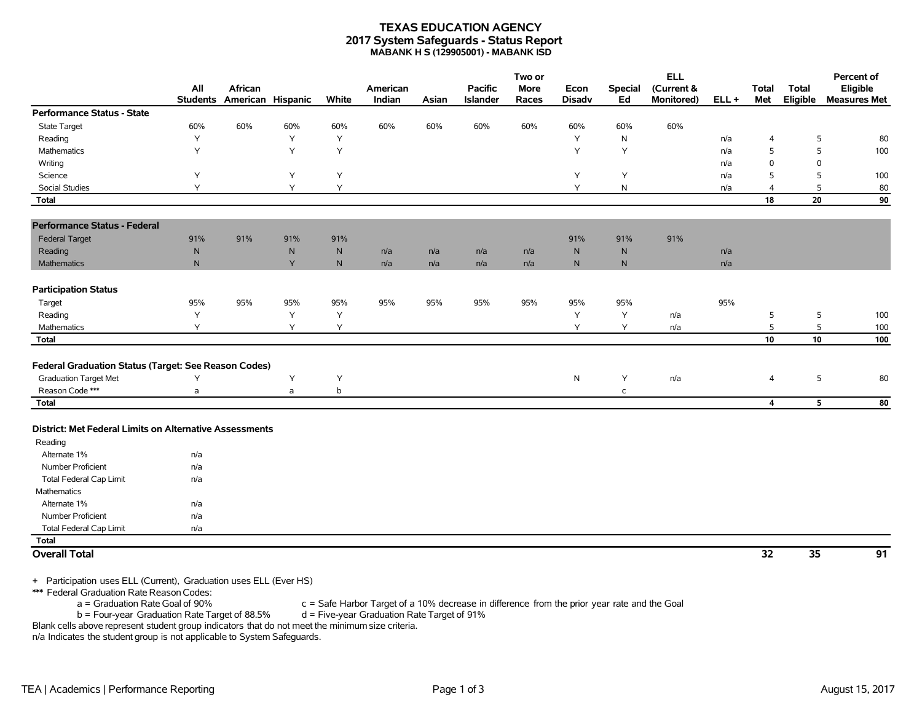#### **TEXAS EDUCATION AGENCY 2017 System Safeguards - Status Report MABANK H S (129905001) - MABANK ISD**

|                                                         | All          | African                    |           |              | American |       | <b>Pacific</b>  | Two or<br><b>More</b> | Econ          | <b>Special</b> | <b>ELL</b><br>(Current & |         | <b>Total</b>            | <b>Total</b> | Percent of<br>Eligible |
|---------------------------------------------------------|--------------|----------------------------|-----------|--------------|----------|-------|-----------------|-----------------------|---------------|----------------|--------------------------|---------|-------------------------|--------------|------------------------|
|                                                         |              | Students American Hispanic |           | White        | Indian   | Asian | <b>Islander</b> | Races                 | <b>Disadv</b> | Ed             | Monitored)               | $ELL +$ | Met                     | Eligible     | <b>Measures Met</b>    |
| <b>Performance Status - State</b>                       |              |                            |           |              |          |       |                 |                       |               |                |                          |         |                         |              |                        |
| <b>State Target</b>                                     | 60%          | 60%                        | 60%       | 60%          | 60%      | 60%   | 60%             | 60%                   | 60%           | 60%            | 60%                      |         |                         |              |                        |
| Reading                                                 | Y            |                            | Y         | Y            |          |       |                 |                       | Y             | $\mathsf{N}$   |                          | n/a     | $\overline{4}$          | 5            | 80                     |
| Mathematics                                             | Υ            |                            | Y         | Y            |          |       |                 |                       | Y             | Y              |                          | n/a     | 5                       | 5            | 100                    |
| Writing                                                 |              |                            |           |              |          |       |                 |                       |               |                |                          | n/a     | $\mathbf 0$             | $\mathbf 0$  |                        |
| Science                                                 | Υ            |                            | Y         | Y            |          |       |                 |                       | Υ             | Y              |                          | n/a     | 5                       | 5            | 100                    |
| <b>Social Studies</b>                                   | Υ            |                            | Y         | Υ            |          |       |                 |                       | Υ             | $\mathsf{N}$   |                          | n/a     | $\overline{4}$          | 5            | 80                     |
| <b>Total</b>                                            |              |                            |           |              |          |       |                 |                       |               |                |                          |         | 18                      | 20           | 90                     |
| <b>Performance Status - Federal</b>                     |              |                            |           |              |          |       |                 |                       |               |                |                          |         |                         |              |                        |
| <b>Federal Target</b>                                   | 91%          | 91%                        | 91%       | 91%          |          |       |                 |                       | 91%           | 91%            | 91%                      |         |                         |              |                        |
| Reading                                                 | ${\sf N}$    |                            | ${\sf N}$ | $\mathsf{N}$ | n/a      | n/a   | n/a             | n/a                   | ${\sf N}$     | ${\sf N}$      |                          | n/a     |                         |              |                        |
| Mathematics                                             | $\mathsf{N}$ |                            | Y         | N            | n/a      | n/a   | n/a             | n/a                   | N.            | N              |                          | n/a     |                         |              |                        |
| <b>Participation Status</b>                             |              |                            |           |              |          |       |                 |                       |               |                |                          |         |                         |              |                        |
| Target                                                  | 95%          | 95%                        | 95%       | 95%          | 95%      | 95%   | 95%             | 95%                   | 95%           | 95%            |                          | 95%     |                         |              |                        |
| Reading                                                 | Υ            |                            | Υ         | Υ            |          |       |                 |                       | Υ             | Y              | n/a                      |         | 5                       | 5            | 100                    |
| Mathematics                                             | Y            |                            | Y         | Y            |          |       |                 |                       | Y             | Y              | n/a                      |         | 5                       | 5            | 100                    |
| <b>Total</b>                                            |              |                            |           |              |          |       |                 |                       |               |                |                          |         | 10                      | 10           | 100                    |
| Federal Graduation Status (Target: See Reason Codes)    |              |                            |           |              |          |       |                 |                       |               |                |                          |         |                         |              |                        |
| <b>Graduation Target Met</b>                            | Υ            |                            | Y         | Y            |          |       |                 |                       | $\mathsf{N}$  | Y              | n/a                      |         | 4                       | 5            | 80                     |
| Reason Code ***                                         | a            |                            | a         | b            |          |       |                 |                       |               | $\mathsf{C}$   |                          |         |                         |              |                        |
| <b>Total</b>                                            |              |                            |           |              |          |       |                 |                       |               |                |                          |         | $\overline{\mathbf{4}}$ | 5            | 80                     |
| District: Met Federal Limits on Alternative Assessments |              |                            |           |              |          |       |                 |                       |               |                |                          |         |                         |              |                        |
| Reading                                                 |              |                            |           |              |          |       |                 |                       |               |                |                          |         |                         |              |                        |
| Alternate 1%                                            | n/a          |                            |           |              |          |       |                 |                       |               |                |                          |         |                         |              |                        |
| Number Proficient                                       | n/a          |                            |           |              |          |       |                 |                       |               |                |                          |         |                         |              |                        |
| <b>Total Federal Cap Limit</b>                          | n/a          |                            |           |              |          |       |                 |                       |               |                |                          |         |                         |              |                        |
| Mathematics                                             |              |                            |           |              |          |       |                 |                       |               |                |                          |         |                         |              |                        |
| Alternate 1%                                            | n/a          |                            |           |              |          |       |                 |                       |               |                |                          |         |                         |              |                        |
| <b>Number Proficient</b>                                | n/a          |                            |           |              |          |       |                 |                       |               |                |                          |         |                         |              |                        |
| <b>Total Federal Cap Limit</b>                          | n/a          |                            |           |              |          |       |                 |                       |               |                |                          |         |                         |              |                        |
| <b>Total</b>                                            |              |                            |           |              |          |       |                 |                       |               |                |                          |         |                         |              |                        |
| <b>Overall Total</b>                                    |              |                            |           |              |          |       |                 |                       |               |                |                          |         | 32                      | 35           | 91                     |
|                                                         |              |                            |           |              |          |       |                 |                       |               |                |                          |         |                         |              |                        |

+ Participation uses ELL (Current), Graduation uses ELL (Ever HS)

\*\*\* Federal Graduation Rate Reason Codes:

a = Graduation Rate Goal of 90% c = Safe Harbor Target of a 10% decrease in difference from the prior year rate and the Goal<br>b = Four-year Graduation Rate Target of 88.5% d = Five-year Graduation Rate Target of 91%

 $b =$  Four-year Graduation Rate Target of 88.5%

Blank cells above represent student group indicators that do not meet the minimum size criteria. n/a Indicates the student group is not applicable to System Safeguards.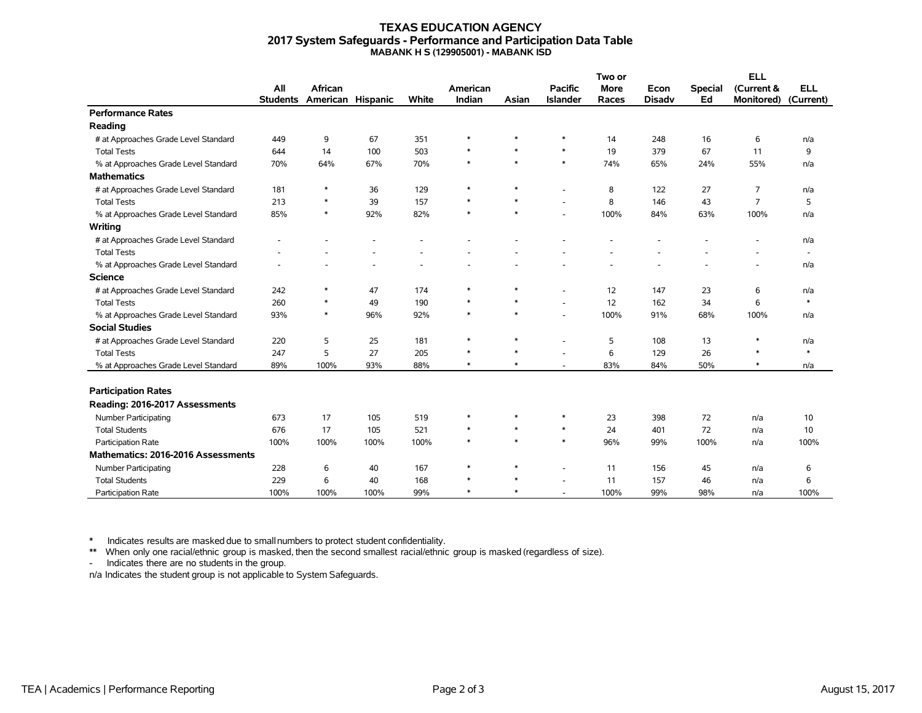#### **TEXAS EDUCATION AGENCY 2017 System Safeguards - Performance and Participation Data Table MABANK H S (129905001) - MABANK ISD**

|                                      |                 |                   |      |       |          |        | Two or                   |             |               | <b>ELL</b>     |                   |                          |
|--------------------------------------|-----------------|-------------------|------|-------|----------|--------|--------------------------|-------------|---------------|----------------|-------------------|--------------------------|
|                                      | All             | <b>African</b>    |      |       | American |        | <b>Pacific</b>           | <b>More</b> | Econ          | <b>Special</b> | (Current &        | <b>ELL</b>               |
|                                      | <b>Students</b> | American Hispanic |      | White | Indian   | Asian  | <b>Islander</b>          | Races       | <b>Disadv</b> | Ed             | <b>Monitored)</b> | (Current)                |
| <b>Performance Rates</b>             |                 |                   |      |       |          |        |                          |             |               |                |                   |                          |
| Reading                              |                 |                   |      |       |          |        |                          |             |               |                |                   |                          |
| # at Approaches Grade Level Standard | 449             | 9                 | 67   | 351   | $\ast$   | $\ast$ | $\ast$                   | 14          | 248           | 16             | 6                 | n/a                      |
| <b>Total Tests</b>                   | 644             | 14                | 100  | 503   | $\ast$   | $\ast$ | $\ast$                   | 19          | 379           | 67             | 11                | 9                        |
| % at Approaches Grade Level Standard | 70%             | 64%               | 67%  | 70%   | $\ast$   | $\ast$ | $\ast$                   | 74%         | 65%           | 24%            | 55%               | n/a                      |
| <b>Mathematics</b>                   |                 |                   |      |       |          |        |                          |             |               |                |                   |                          |
| # at Approaches Grade Level Standard | 181             | ∗                 | 36   | 129   | $\ast$   | $\ast$ |                          | 8           | 122           | 27             | $\overline{7}$    | n/a                      |
| <b>Total Tests</b>                   | 213             | $\ast$            | 39   | 157   | $\ast$   | $\ast$ |                          | 8           | 146           | 43             | $\overline{7}$    | 5                        |
| % at Approaches Grade Level Standard | 85%             | $\ast$            | 92%  | 82%   | $\ast$   | $\ast$ |                          | 100%        | 84%           | 63%            | 100%              | n/a                      |
| Writing                              |                 |                   |      |       |          |        |                          |             |               |                |                   |                          |
| # at Approaches Grade Level Standard |                 |                   |      |       |          |        |                          |             |               |                |                   | n/a                      |
| <b>Total Tests</b>                   |                 |                   |      |       |          |        |                          |             |               |                |                   | $\overline{\phantom{a}}$ |
| % at Approaches Grade Level Standard |                 |                   |      |       |          |        |                          |             |               |                |                   | n/a                      |
| <b>Science</b>                       |                 |                   |      |       |          |        |                          |             |               |                |                   |                          |
| # at Approaches Grade Level Standard | 242             | *                 | 47   | 174   | $\ast$   | $\ast$ | ٠                        | 12          | 147           | 23             | 6                 | n/a                      |
| <b>Total Tests</b>                   | 260             | $\ast$            | 49   | 190   | $\ast$   | $\ast$ | ٠                        | 12          | 162           | 34             | 6                 | $\ast$                   |
| % at Approaches Grade Level Standard | 93%             | $\ast$            | 96%  | 92%   | $\ast$   | $\ast$ | $\overline{\phantom{a}}$ | 100%        | 91%           | 68%            | 100%              | n/a                      |
| <b>Social Studies</b>                |                 |                   |      |       |          |        |                          |             |               |                |                   |                          |
| # at Approaches Grade Level Standard | 220             | 5                 | 25   | 181   | $\ast$   | $\ast$ |                          | 5           | 108           | 13             | $\ast$            | n/a                      |
| <b>Total Tests</b>                   | 247             | 5                 | 27   | 205   | $\ast$   | $\ast$ |                          | 6           | 129           | 26             | $\ast$            | $\ast$                   |
| % at Approaches Grade Level Standard | 89%             | 100%              | 93%  | 88%   | $\ast$   | $\ast$ | ٠                        | 83%         | 84%           | 50%            | $\ast$            | n/a                      |
|                                      |                 |                   |      |       |          |        |                          |             |               |                |                   |                          |
| <b>Participation Rates</b>           |                 |                   |      |       |          |        |                          |             |               |                |                   |                          |
| Reading: 2016-2017 Assessments       |                 |                   |      |       |          |        |                          |             |               |                |                   |                          |
| <b>Number Participating</b>          | 673             | 17                | 105  | 519   | $\ast$   | $\ast$ | $\ast$                   | 23          | 398           | 72             | n/a               | 10                       |
| <b>Total Students</b>                | 676             | 17                | 105  | 521   | $\ast$   | $\ast$ | $\ast$                   | 24          | 401           | 72             | n/a               | 10                       |
| Participation Rate                   | 100%            | 100%              | 100% | 100%  | $\ast$   | $\ast$ | $\ast$                   | 96%         | 99%           | 100%           | n/a               | 100%                     |
| Mathematics: 2016-2016 Assessments   |                 |                   |      |       |          |        |                          |             |               |                |                   |                          |
| Number Participating                 | 228             | 6                 | 40   | 167   | $\ast$   | $\ast$ |                          | 11          | 156           | 45             | n/a               | 6                        |
| <b>Total Students</b>                | 229             | 6                 | 40   | 168   | $\ast$   | $\ast$ |                          | 11          | 157           | 46             | n/a               | 6                        |
| <b>Participation Rate</b>            | 100%            | 100%              | 100% | 99%   | $\ast$   | $\ast$ |                          | 100%        | 99%           | 98%            | n/a               | 100%                     |

\* Indicates results are masked due to smallnumbers to protect student confidentiality.

\*\* When only one racial/ethnic group is masked, then the second smallest racial/ethnic group is masked (regardless of size).

- Indicates there are no students in the group.

n/a Indicates the student group is not applicable to System Safeguards.